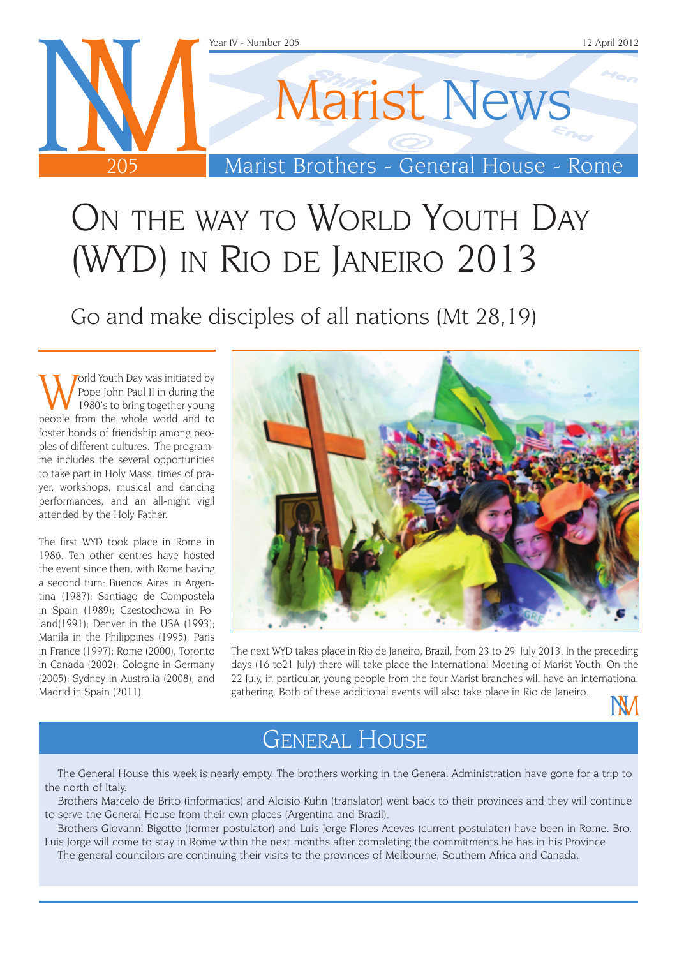

# ON THE WAY TO WORLD YOUTH DAY (WYD) in Rio de Janeiro 2013

Go and make disciples of all nations (Mt 28,19)

orld Youth Day was initiated by Pope John Paul II in during the 1980's to bring together young people from the whole world and to foster bonds of friendship among peoples of different cultures. The programme includes the several opportunities to take part in Holy Mass, times of prayer, workshops, musical and dancing performances, and an all-night vigil attended by the Holy Father.

The first WYD took place in Rome in 1986. Ten other centres have hosted the event since then, with Rome having a second turn: Buenos Aires in Argentina (1987); Santiago de Compostela in Spain (1989); Czestochowa in Poland(1991); Denver in the USA (1993); Manila in the Philippines (1995); Paris in France (1997); Rome (2000), Toronto in Canada (2002); Cologne in Germany (2005); Sydney in Australia (2008); and Madrid in Spain (2011).



The next WYD takes place in Rio de Janeiro, Brazil, from 23 to 29 July 2013. In the preceding days (16 to21 July) there will take place the International Meeting of Marist Youth. On the 22 July, in particular, young people from the four Marist branches will have an international gathering. Both of these additional events will also take place in Rio de Janeiro.



### General House

The General House this week is nearly empty. The brothers working in the General Administration have gone for a trip to the north of Italy.

Brothers Marcelo de Brito (informatics) and Aloisio Kuhn (translator) went back to their provinces and they will continue to serve the General House from their own places (Argentina and Brazil).

Brothers Giovanni Bigotto (former postulator) and Luis Jorge Flores Aceves (current postulator) have been in Rome. Bro. Luis Jorge will come to stay in Rome within the next months after completing the commitments he has in his Province.

The general councilors are continuing their visits to the provinces of Melbourne, Southern Africa and Canada.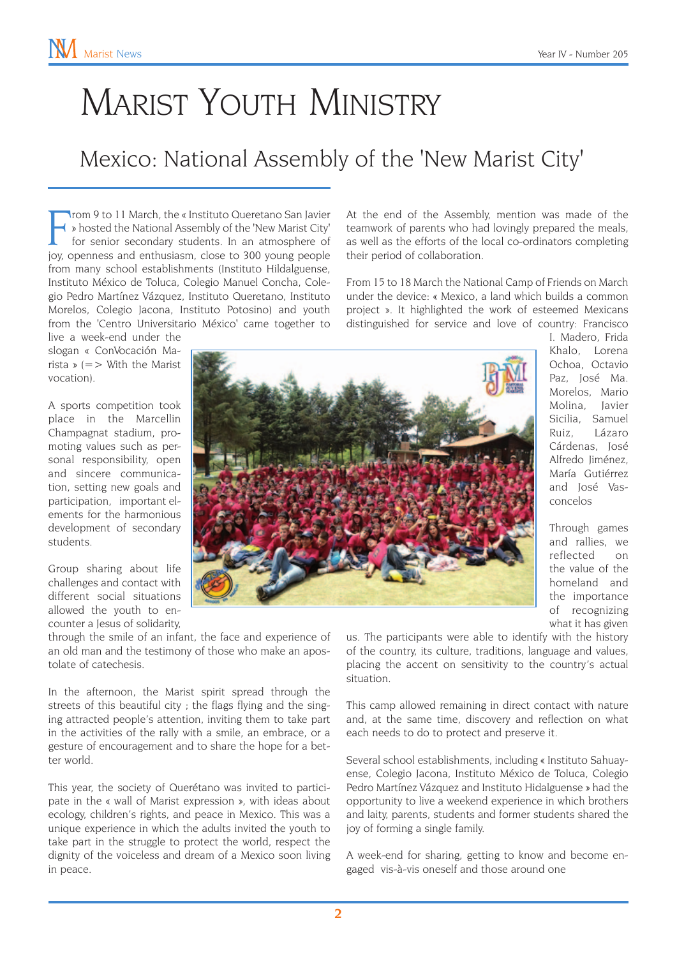# Marist Youth Ministry

### Mexico: National Assembly of the 'New Marist City'

From 9 to 11 March, the « Instituto Queretano San Javier » hosted the National Assembly of the 'New Marist City' for senior secondary students. In an atmosphere of joy, openness and enthusiasm, close to 300 young people rom 9 to 11 March, the « Instituto Queretano San Javier » hosted the National Assembly of the 'New Marist City' for senior secondary students. In an atmosphere of from many school establishments (Instituto Hildalguense, Instituto México de Toluca, Colegio Manuel Concha, Colegio Pedro Martínez Vázquez, Instituto Queretano, Instituto Morelos, Colegio Jacona, Instituto Potosino) and youth from the 'Centro Universitario México' came together to

live a week-end under the slogan « ConVocación Marista »  $(=>$  With the Marist vocation).

A sports competition took place in the Marcellin Champagnat stadium, promoting values such as personal responsibility, open and sincere communication, setting new goals and participation, important elements for the harmonious development of secondary students.

Group sharing about life challenges and contact with different social situations allowed the youth to encounter a Jesus of solidarity,

through the smile of an infant, the face and experience of an old man and the testimony of those who make an apostolate of catechesis.

In the afternoon, the Marist spirit spread through the streets of this beautiful city ; the flags flying and the singing attracted people's attention, inviting them to take part in the activities of the rally with a smile, an embrace, or a gesture of encouragement and to share the hope for a better world.

This year, the society of Querétano was invited to participate in the « wall of Marist expression », with ideas about ecology, children's rights, and peace in Mexico. This was a unique experience in which the adults invited the youth to take part in the struggle to protect the world, respect the dignity of the voiceless and dream of a Mexico soon living in peace.

At the end of the Assembly, mention was made of the teamwork of parents who had lovingly prepared the meals, as well as the efforts of the local co-ordinators completing their period of collaboration.

From 15 to 18 March the National Camp of Friends on March under the device: « Mexico, a land which builds a common project ». It highlighted the work of esteemed Mexicans distinguished for service and love of country: Francisco



I. Madero, Frida Khalo, Lorena Ochoa, Octavio Paz, José Ma. Morelos, Mario Molina, Javier Sicilia, Samuel Ruiz, Lázaro Cárdenas, José Alfredo Jiménez, María Gutiérrez and José Vasconcelos

Through games and rallies, we reflected on the value of the homeland and the importance of recognizing what it has given

us. The participants were able to identify with the history of the country, its culture, traditions, language and values, placing the accent on sensitivity to the country's actual situation.

This camp allowed remaining in direct contact with nature and, at the same time, discovery and reflection on what each needs to do to protect and preserve it.

Several school establishments, including « Instituto Sahuayense, Colegio Jacona, Instituto México de Toluca, Colegio Pedro Martínez Vázquez and Instituto Hidalguense » had the opportunity to live a weekend experience in which brothers and laity, parents, students and former students shared the joy of forming a single family.

A week-end for sharing, getting to know and become engaged vis-à-vis oneself and those around one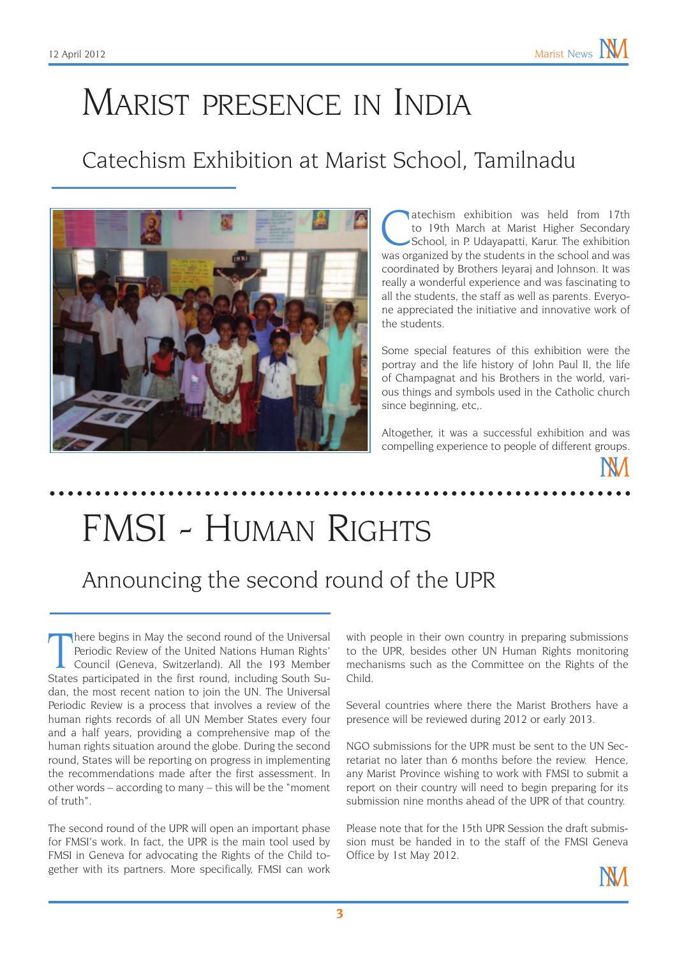# Marist presence in India

### Catechism Exhibition at Marist School, Tamilnadu



atechism exhibition was held from 17th<br>to 19th March at Marist Higher Secondary<br>School, in P. Udayapatti, Karur. The exhibition<br>was organized by the students in the school and was to 19th March at Marist Higher Secondary was organized by the students in the school and was coordinated by Brothers Jeyaraj and Johnson. It was really a wonderful experience and was fascinating to all the students, the staff as well as parents. Everyone appreciated the initiative and innovative work of the students.

Some special features of this exhibition were the portray and the life history of John Paul II, the life of Champagnat and his Brothers in the world, various things and symbols used in the Catholic church since beginning, etc,.

Altogether, it was a successful exhibition and was compelling experience to people of different groups.

# FMSI - Human Rights

### Announcing the second round of the UPR

There begins in May the second round of the Universal<br>Periodic Review of the United Nations Human Rights'<br>Council (Geneva, Switzerland). All the 193 Member<br>States participated in the first round, including South Suhere begins in May the second round of the Universal Periodic Review of the United Nations Human Rights' Council (Geneva, Switzerland). All the 193 Member dan, the most recent nation to join the UN. The Universal Periodic Review is a process that involves a review of the human rights records of all UN Member States every four and a half years, providing a comprehensive map of the human rights situation around the globe. During the second round, States will be reporting on progress in implementing the recommendations made after the first assessment. In other words – according to many – this will be the "moment of truth".

The second round of the UPR will open an important phase for FMSI's work. In fact, the UPR is the main tool used by FMSI in Geneva for advocating the Rights of the Child together with its partners. More specifically, FMSI can work with people in their own country in preparing submissions to the UPR, besides other UN Human Rights monitoring mechanisms such as the Committee on the Rights of the Child.

Several countries where there the Marist Brothers have a presence will be reviewed during 2012 or early 2013.

NGO submissions for the UPR must be sent to the UN Secretariat no later than 6 months before the review. Hence, any Marist Province wishing to work with FMSI to submit a report on their country will need to begin preparing for its submission nine months ahead of the UPR of that country.

Please note that for the 15th UPR Session the draft submission must be handed in to the staff of the FMSI Geneva Office by 1st May 2012.